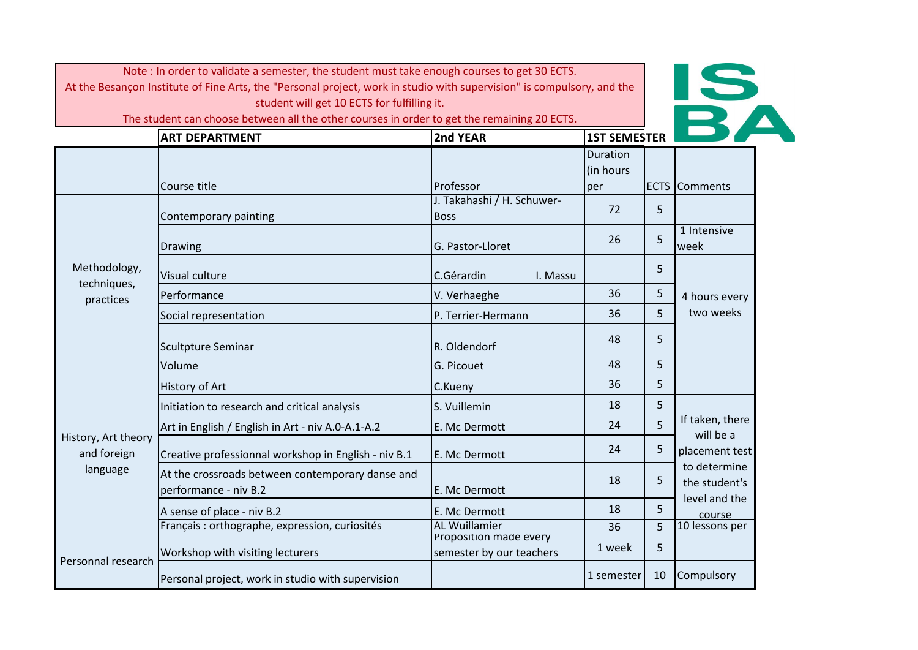

|                                    | <b>ART DEPARTMENT</b>                                                     | 2nd YEAR                                           | <b>1ST SEMESTER</b> |             |                               |
|------------------------------------|---------------------------------------------------------------------------|----------------------------------------------------|---------------------|-------------|-------------------------------|
|                                    |                                                                           |                                                    | <b>Duration</b>     |             |                               |
|                                    | Course title                                                              | Professor                                          | (in hours<br>per    | <b>ECTS</b> | <b>Comments</b>               |
|                                    | Contemporary painting                                                     | J. Takahashi / H. Schuwer-<br><b>Boss</b>          | 72                  | 5           |                               |
|                                    | Drawing                                                                   | G. Pastor-Lloret                                   | 26                  | 5           | 1 Intensive<br><b>week</b>    |
| Methodology,<br>techniques,        | Visual culture                                                            | C.Gérardin<br>I. Massu                             |                     | 5           |                               |
| practices                          | Performance                                                               | V. Verhaeghe                                       | 36                  | 5           | 4 hours every                 |
|                                    | Social representation                                                     | P. Terrier-Hermann                                 | 36                  | 5           | two weeks                     |
|                                    | Scultpture Seminar                                                        | R. Oldendorf                                       | 48                  | 5           |                               |
|                                    | Volume                                                                    | G. Picouet                                         | 48                  | 5           |                               |
|                                    | <b>History of Art</b>                                                     | C.Kueny                                            | 36                  | 5           |                               |
|                                    | Initiation to research and critical analysis                              | S. Vuillemin                                       | 18                  | 5           |                               |
|                                    | Art in English / English in Art - niv A.0-A.1-A.2                         | E. Mc Dermott                                      | 24                  | 5           | If taken, there<br>will be a  |
| History, Art theory<br>and foreign | Creative professionnal workshop in English - niv B.1                      | E. Mc Dermott                                      | 24                  | 5           | placement test                |
| language                           | At the crossroads between contemporary danse and<br>performance - niv B.2 | E. Mc Dermott                                      | 18                  | 5           | to determine<br>the student's |
|                                    | A sense of place - niv B.2                                                | E. Mc Dermott                                      | 18                  | 5           | level and the<br>course       |
|                                    | Français : orthographe, expression, curiosités                            | <b>AL Wuillamier</b>                               | 36                  | 5           | 10 lessons per                |
|                                    | Workshop with visiting lecturers                                          | Proposition made every<br>semester by our teachers | 1 week              | 5           |                               |
| Personnal research                 | Personal project, work in studio with supervision                         |                                                    | 1 semester          | 10          | Compulsory                    |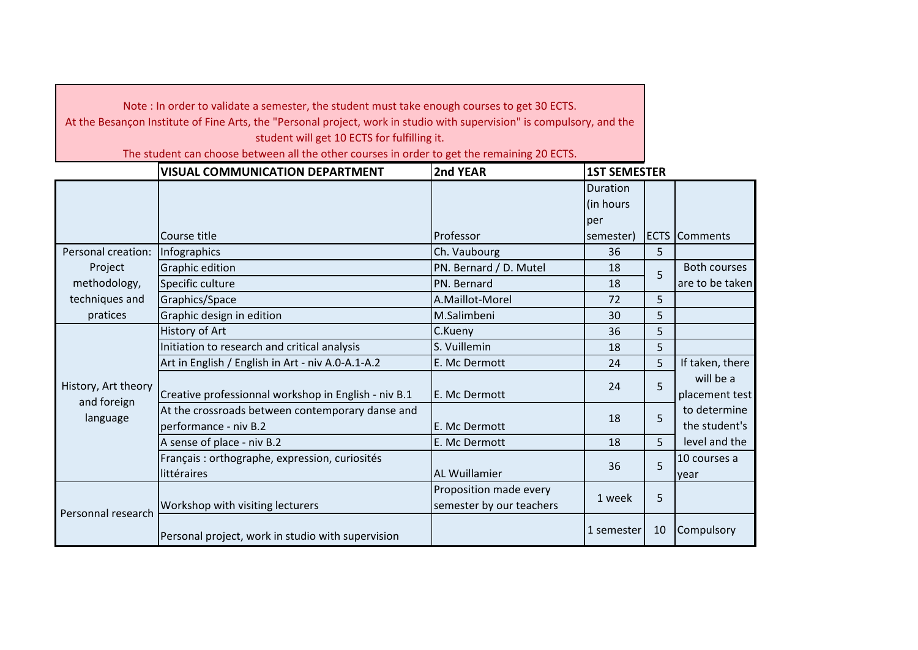Note : In order to validate a semester, the student must take enough courses to get 30 ECTS.

At the Besançon Institute of Fine Arts, the "Personal project, work in studio with supervision" is compulsory, and the student will get 10 ECTS for fulfilling it.

|                                    | <b>VISUAL COMMUNICATION DEPARTMENT</b>                                    | 2nd YEAR                                           | <b>1ST SEMESTER</b> |    |                               |
|------------------------------------|---------------------------------------------------------------------------|----------------------------------------------------|---------------------|----|-------------------------------|
|                                    |                                                                           |                                                    | <b>Duration</b>     |    |                               |
|                                    |                                                                           |                                                    | (in hours           |    |                               |
|                                    |                                                                           |                                                    | per                 |    |                               |
|                                    | Course title                                                              | Professor                                          | semester)           |    | <b>ECTS</b> Comments          |
| Personal creation:                 | Infographics                                                              | Ch. Vaubourg                                       | 36                  | 5  |                               |
| Project                            | <b>Graphic edition</b>                                                    | PN. Bernard / D. Mutel                             | 18                  | 5  | <b>Both courses</b>           |
| methodology,                       | Specific culture                                                          | PN. Bernard                                        | 18                  |    | are to be taken               |
| techniques and                     | Graphics/Space                                                            | A.Maillot-Morel                                    | 72                  | 5  |                               |
| pratices                           | Graphic design in edition                                                 | M.Salimbeni                                        | 30                  | 5  |                               |
|                                    | History of Art                                                            | C.Kueny                                            | 36                  | 5  |                               |
|                                    | Initiation to research and critical analysis                              | S. Vuillemin                                       | 18                  | 5  |                               |
|                                    | Art in English / English in Art - niv A.0-A.1-A.2                         | E. Mc Dermott                                      | 24                  | 5  | If taken, there               |
| History, Art theory<br>and foreign | Creative professionnal workshop in English - niv B.1                      | E. Mc Dermott                                      | 24                  | 5  | will be a<br>placement test   |
| language                           | At the crossroads between contemporary danse and<br>performance - niv B.2 | E. Mc Dermott                                      | 18                  | 5  | to determine<br>the student's |
|                                    | A sense of place - niv B.2                                                | E. Mc Dermott                                      | 18                  | 5  | level and the                 |
|                                    | Français : orthographe, expression, curiosités<br>littéraires             | <b>AL Wuillamier</b>                               | 36                  | 5  | 10 courses a<br>year          |
|                                    | Workshop with visiting lecturers                                          | Proposition made every<br>semester by our teachers | 1 week              | 5  |                               |
| Personnal research                 | Personal project, work in studio with supervision                         |                                                    | 1 semester          | 10 | Compulsory                    |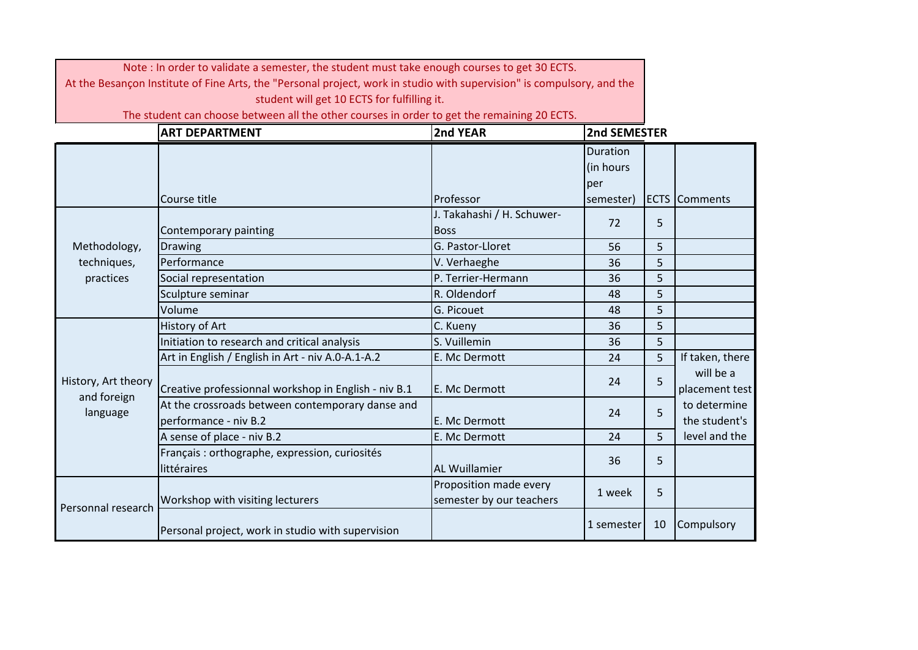| Note: In order to validate a semester, the student must take enough courses to get 30 ECTS.<br>At the Besançon Institute of Fine Arts, the "Personal project, work in studio with supervision" is compulsory, and the<br>student will get 10 ECTS for fulfilling it. |                                                                                             |                                                    |                 |    |                               |
|----------------------------------------------------------------------------------------------------------------------------------------------------------------------------------------------------------------------------------------------------------------------|---------------------------------------------------------------------------------------------|----------------------------------------------------|-----------------|----|-------------------------------|
|                                                                                                                                                                                                                                                                      | The student can choose between all the other courses in order to get the remaining 20 ECTS. |                                                    |                 |    |                               |
|                                                                                                                                                                                                                                                                      | <b>ART DEPARTMENT</b>                                                                       | 2nd YEAR                                           | 2nd SEMESTER    |    |                               |
|                                                                                                                                                                                                                                                                      |                                                                                             |                                                    | <b>Duration</b> |    |                               |
|                                                                                                                                                                                                                                                                      |                                                                                             |                                                    | (in hours       |    |                               |
|                                                                                                                                                                                                                                                                      |                                                                                             |                                                    | per             |    |                               |
|                                                                                                                                                                                                                                                                      | Course title                                                                                | Professor                                          | semester)       |    | <b>ECTS</b> Comments          |
|                                                                                                                                                                                                                                                                      |                                                                                             | J. Takahashi / H. Schuwer-                         | 72              | 5  |                               |
|                                                                                                                                                                                                                                                                      | Contemporary painting                                                                       | <b>Boss</b>                                        |                 |    |                               |
| Methodology,                                                                                                                                                                                                                                                         | <b>Drawing</b>                                                                              | G. Pastor-Lloret                                   | 56              | 5  |                               |
| techniques,                                                                                                                                                                                                                                                          | Performance                                                                                 | V. Verhaeghe                                       | 36              | 5  |                               |
| practices                                                                                                                                                                                                                                                            | Social representation                                                                       | P. Terrier-Hermann                                 | 36              | 5  |                               |
|                                                                                                                                                                                                                                                                      | Sculpture seminar                                                                           | R. Oldendorf                                       | 48              | 5  |                               |
|                                                                                                                                                                                                                                                                      | Volume                                                                                      | G. Picouet                                         | 48              | 5  |                               |
|                                                                                                                                                                                                                                                                      | <b>History of Art</b>                                                                       | C. Kueny                                           | 36              | 5  |                               |
|                                                                                                                                                                                                                                                                      | Initiation to research and critical analysis                                                | S. Vuillemin                                       | 36              | 5  |                               |
|                                                                                                                                                                                                                                                                      | Art in English / English in Art - niv A.0-A.1-A.2                                           | E. Mc Dermott                                      | 24              | 5  | If taken, there               |
| History, Art theory<br>and foreign                                                                                                                                                                                                                                   | Creative professionnal workshop in English - niv B.1                                        | E. Mc Dermott                                      | 24              | 5  | will be a<br>placement test   |
| language                                                                                                                                                                                                                                                             | At the crossroads between contemporary danse and<br>performance - niv B.2                   | E. Mc Dermott                                      | 24              | 5  | to determine<br>the student's |
|                                                                                                                                                                                                                                                                      | A sense of place - niv B.2                                                                  | E. Mc Dermott                                      | 24              | 5  | level and the                 |
|                                                                                                                                                                                                                                                                      | Français : orthographe, expression, curiosités<br>littéraires                               | <b>AL Wuillamier</b>                               | 36              | 5  |                               |
|                                                                                                                                                                                                                                                                      |                                                                                             |                                                    |                 |    |                               |
| Personnal research                                                                                                                                                                                                                                                   | Workshop with visiting lecturers                                                            | Proposition made every<br>semester by our teachers | 1 week          | 5  |                               |
|                                                                                                                                                                                                                                                                      | Personal project, work in studio with supervision                                           |                                                    | 1 semester      | 10 | Compulsory                    |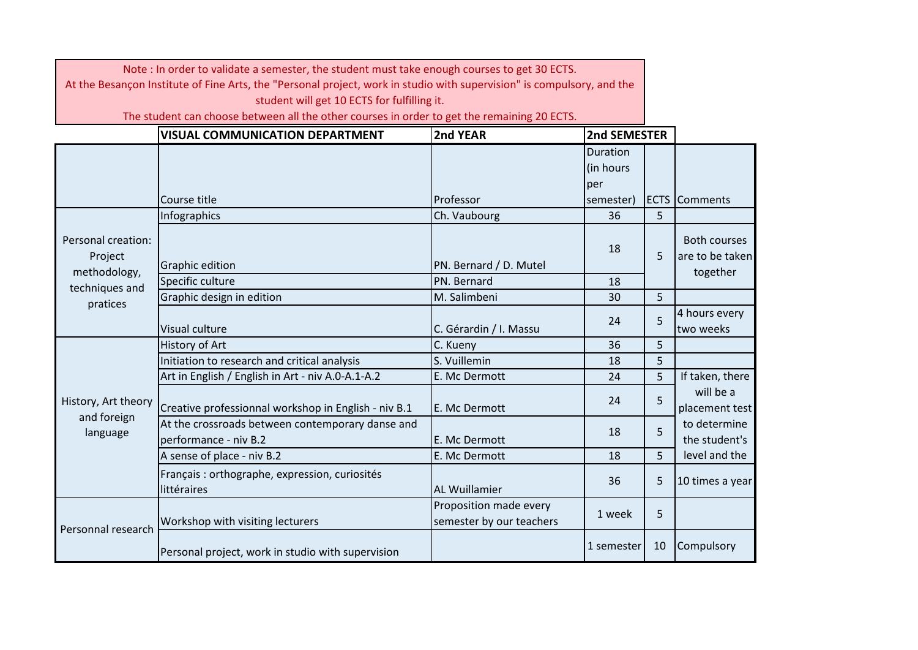| Note: In order to validate a semester, the student must take enough courses to get 30 ECTS.                            |                                                                                             |                                                    |              |    |                                        |
|------------------------------------------------------------------------------------------------------------------------|---------------------------------------------------------------------------------------------|----------------------------------------------------|--------------|----|----------------------------------------|
| At the Besançon Institute of Fine Arts, the "Personal project, work in studio with supervision" is compulsory, and the |                                                                                             |                                                    |              |    |                                        |
|                                                                                                                        | student will get 10 ECTS for fulfilling it.                                                 |                                                    |              |    |                                        |
|                                                                                                                        | The student can choose between all the other courses in order to get the remaining 20 ECTS. |                                                    |              |    |                                        |
|                                                                                                                        | <b>VISUAL COMMUNICATION DEPARTMENT</b>                                                      | 2nd YEAR                                           | 2nd SEMESTER |    |                                        |
|                                                                                                                        |                                                                                             |                                                    | Duration     |    |                                        |
|                                                                                                                        |                                                                                             |                                                    | (in hours    |    |                                        |
|                                                                                                                        |                                                                                             |                                                    | per          |    |                                        |
|                                                                                                                        | Course title                                                                                | Professor                                          | semester)    |    | <b>ECTS</b> Comments                   |
|                                                                                                                        | Infographics                                                                                | Ch. Vaubourg                                       | 36           | 5  |                                        |
| Personal creation:<br>Project                                                                                          | Graphic edition                                                                             | PN. Bernard / D. Mutel                             | 18           | 5  | <b>Both courses</b><br>are to be taken |
| methodology,                                                                                                           | Specific culture                                                                            | PN. Bernard                                        | 18           |    | together                               |
| techniques and                                                                                                         | Graphic design in edition                                                                   | M. Salimbeni                                       | 30           | 5  |                                        |
| pratices                                                                                                               | Visual culture                                                                              | C. Gérardin / I. Massu                             | 24           | 5  | 4 hours every<br>two weeks             |
|                                                                                                                        | History of Art                                                                              | C. Kueny                                           | 36           | 5  |                                        |
|                                                                                                                        | Initiation to research and critical analysis                                                | S. Vuillemin                                       | 18           | 5  |                                        |
|                                                                                                                        | Art in English / English in Art - niv A.0-A.1-A.2                                           | E. Mc Dermott                                      | 24           | 5  | If taken, there                        |
| History, Art theory                                                                                                    | Creative professionnal workshop in English - niv B.1                                        | E. Mc Dermott                                      | 24           | 5  | will be a<br>placement test            |
| and foreign<br>language                                                                                                | At the crossroads between contemporary danse and<br>performance - niv B.2                   | E. Mc Dermott                                      | 18           | 5  | to determine<br>the student's          |
|                                                                                                                        | A sense of place - niv B.2                                                                  | E. Mc Dermott                                      | 18           | 5  | level and the                          |
|                                                                                                                        | Français : orthographe, expression, curiosités<br>littéraires                               | <b>AL Wuillamier</b>                               | 36           | 5  | 10 times a year                        |
|                                                                                                                        | Workshop with visiting lecturers                                                            | Proposition made every<br>semester by our teachers | 1 week       | 5  |                                        |
| Personnal research                                                                                                     | Personal project, work in studio with supervision                                           |                                                    | 1 semester   | 10 | Compulsory                             |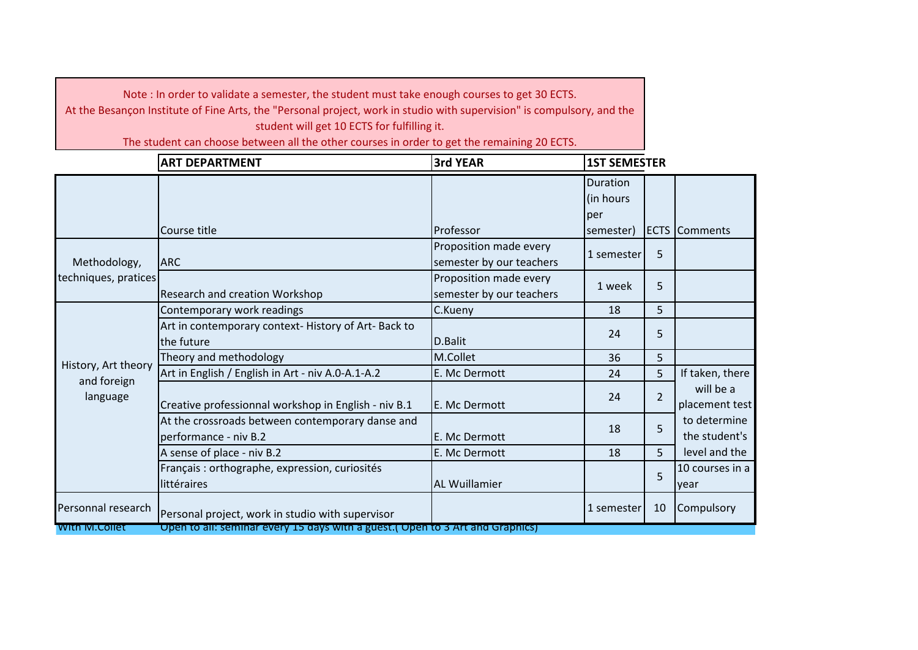|                         | <b>ART DEPARTMENT</b>                                                         | <b>3rd YEAR</b>                                    | <b>1ST SEMESTER</b>                 |                |                               |
|-------------------------|-------------------------------------------------------------------------------|----------------------------------------------------|-------------------------------------|----------------|-------------------------------|
|                         |                                                                               |                                                    | <b>Duration</b><br>(in hours<br>per |                |                               |
|                         | Course title                                                                  | Professor                                          | semester)                           |                | <b>ECTS</b> Comments          |
| Methodology,            | <b>ARC</b>                                                                    | Proposition made every<br>semester by our teachers | 1 semester                          | 5              |                               |
| techniques, pratices    | Research and creation Workshop                                                | Proposition made every<br>semester by our teachers | 1 week                              | 5              |                               |
|                         | Contemporary work readings                                                    | C.Kueny                                            | 18                                  | 5              |                               |
|                         | Art in contemporary context-History of Art-Back to<br>the future              | D.Balit                                            | 24                                  | 5              |                               |
| History, Art theory     | Theory and methodology                                                        | M.Collet                                           | 36                                  | 5              |                               |
|                         | Art in English / English in Art - niv A.0-A.1-A.2                             | E. Mc Dermott                                      | 24                                  | 5              | If taken, there               |
| and foreign<br>language | Creative professionnal workshop in English - niv B.1                          | E. Mc Dermott                                      | 24                                  | $\overline{2}$ | will be a<br>placement test   |
|                         | At the crossroads between contemporary danse and<br>performance - niv B.2     | E. Mc Dermott                                      | 18                                  | 5              | to determine<br>the student's |
|                         | A sense of place - niv B.2                                                    | E. Mc Dermott                                      | 18                                  | 5              | level and the                 |
|                         | Français : orthographe, expression, curiosités<br>littéraires                 | <b>AL Wuillamier</b>                               |                                     | 5              | 10 courses in a<br>year       |
| Personnal research      | Personal project, work in studio with supervisor                              |                                                    | 1 semester                          | 10             | Compulsory                    |
| With M.Collet           | Open to all: seminar every 15 days with a guest. (Open to 3 Art and Graphics) |                                                    |                                     |                |                               |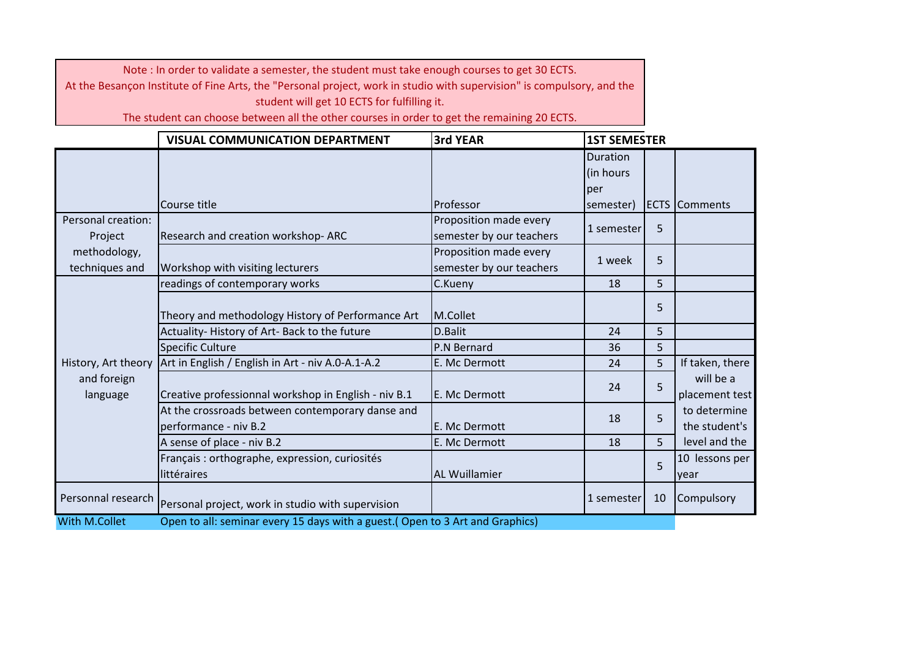|                                | <b>VISUAL COMMUNICATION DEPARTMENT</b>                                        | 3rd YEAR                                           |                       | <b>1ST SEMESTER</b> |                               |  |
|--------------------------------|-------------------------------------------------------------------------------|----------------------------------------------------|-----------------------|---------------------|-------------------------------|--|
|                                |                                                                               |                                                    | Duration<br>(in hours |                     |                               |  |
|                                |                                                                               |                                                    | per                   |                     |                               |  |
|                                | Course title                                                                  | Professor                                          | semester)             |                     | <b>ECTS Comments</b>          |  |
| Personal creation:<br>Project  | Research and creation workshop-ARC                                            | Proposition made every<br>semester by our teachers | 1 semester            | 5                   |                               |  |
| methodology,<br>techniques and | Workshop with visiting lecturers                                              | Proposition made every<br>semester by our teachers | 1 week                | 5                   |                               |  |
|                                | readings of contemporary works                                                | C.Kueny                                            | 18                    | 5                   |                               |  |
|                                | Theory and methodology History of Performance Art                             | M.Collet                                           |                       | 5                   |                               |  |
|                                | Actuality-History of Art-Back to the future                                   | D.Balit                                            | 24                    | 5                   |                               |  |
|                                | <b>Specific Culture</b>                                                       | P.N Bernard                                        | 36                    | 5                   |                               |  |
| History, Art theory            | Art in English / English in Art - niv A.0-A.1-A.2                             | E. Mc Dermott                                      | 24                    | 5                   | If taken, there               |  |
| and foreign<br>language        | Creative professionnal workshop in English - niv B.1                          | E. Mc Dermott                                      | 24                    | 5                   | will be a<br>placement test   |  |
|                                | At the crossroads between contemporary danse and<br>performance - niv B.2     | E. Mc Dermott                                      | 18                    | 5                   | to determine<br>the student's |  |
|                                | A sense of place - niv B.2                                                    | E. Mc Dermott                                      | 18                    | 5                   | level and the                 |  |
|                                | Français : orthographe, expression, curiosités<br>littéraires                 | <b>AL Wuillamier</b>                               |                       | $\overline{5}$      | 10 lessons per<br>year        |  |
| Personnal research             | Personal project, work in studio with supervision                             |                                                    | 1 semester            | 10                  | Compulsory                    |  |
| With M.Collet                  | Open to all: seminar every 15 days with a guest.( Open to 3 Art and Graphics) |                                                    |                       |                     |                               |  |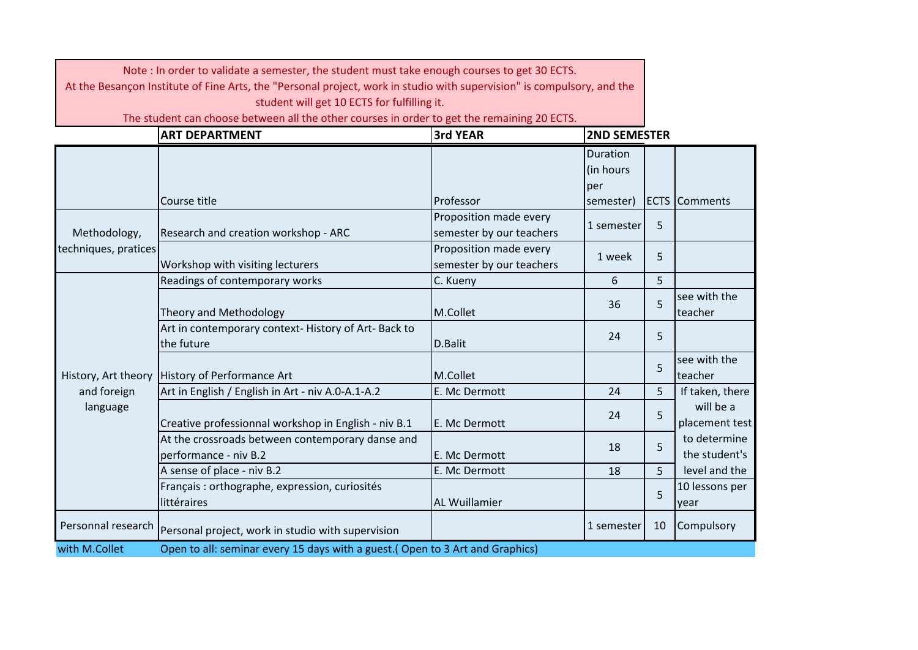| Note: In order to validate a semester, the student must take enough courses to get 30 ECTS.<br>At the Besançon Institute of Fine Arts, the "Personal project, work in studio with supervision" is compulsory, and the<br>student will get 10 ECTS for fulfilling it. |                                                                                                                      |                                                    |                              |    |                               |
|----------------------------------------------------------------------------------------------------------------------------------------------------------------------------------------------------------------------------------------------------------------------|----------------------------------------------------------------------------------------------------------------------|----------------------------------------------------|------------------------------|----|-------------------------------|
|                                                                                                                                                                                                                                                                      | The student can choose between all the other courses in order to get the remaining 20 ECTS.<br><b>ART DEPARTMENT</b> | 3rd YEAR                                           | <b>2ND SEMESTER</b>          |    |                               |
|                                                                                                                                                                                                                                                                      |                                                                                                                      |                                                    | Duration<br>(in hours<br>per |    |                               |
|                                                                                                                                                                                                                                                                      | Course title                                                                                                         | Professor                                          | semester)                    |    | <b>ECTS</b> Comments          |
| Methodology,                                                                                                                                                                                                                                                         | Research and creation workshop - ARC                                                                                 | Proposition made every<br>semester by our teachers | 1 semester                   | 5  |                               |
| techniques, pratices                                                                                                                                                                                                                                                 | Workshop with visiting lecturers                                                                                     | Proposition made every<br>semester by our teachers | 1 week                       | 5  |                               |
|                                                                                                                                                                                                                                                                      | Readings of contemporary works                                                                                       | C. Kueny                                           | 6                            | 5  |                               |
|                                                                                                                                                                                                                                                                      | Theory and Methodology                                                                                               | M.Collet                                           | 36                           | 5  | see with the<br>teacher       |
|                                                                                                                                                                                                                                                                      | Art in contemporary context-History of Art-Back to<br>the future                                                     | D.Balit                                            | 24                           | 5  |                               |
| History, Art theory                                                                                                                                                                                                                                                  | History of Performance Art                                                                                           | M.Collet                                           |                              | 5  | see with the<br>teacher       |
| and foreign                                                                                                                                                                                                                                                          | Art in English / English in Art - niv A.0-A.1-A.2                                                                    | E. Mc Dermott                                      | 24                           | 5  | If taken, there               |
| language                                                                                                                                                                                                                                                             | Creative professionnal workshop in English - niv B.1                                                                 | E. Mc Dermott                                      | 24                           | 5  | will be a<br>placement test   |
|                                                                                                                                                                                                                                                                      | At the crossroads between contemporary danse and<br>performance - niv B.2                                            | E. Mc Dermott                                      | 18                           | 5  | to determine<br>the student's |
|                                                                                                                                                                                                                                                                      | A sense of place - niv B.2                                                                                           | E. Mc Dermott                                      | 18                           | 5  | level and the                 |
|                                                                                                                                                                                                                                                                      | Français : orthographe, expression, curiosités<br>littéraires                                                        | <b>AL Wuillamier</b>                               |                              | 5  | 10 lessons per<br>year        |
| Personnal research                                                                                                                                                                                                                                                   | Personal project, work in studio with supervision                                                                    |                                                    | 1 semester                   | 10 | Compulsory                    |
| with M.Collet                                                                                                                                                                                                                                                        | Open to all: seminar every 15 days with a guest. (Open to 3 Art and Graphics)                                        |                                                    |                              |    |                               |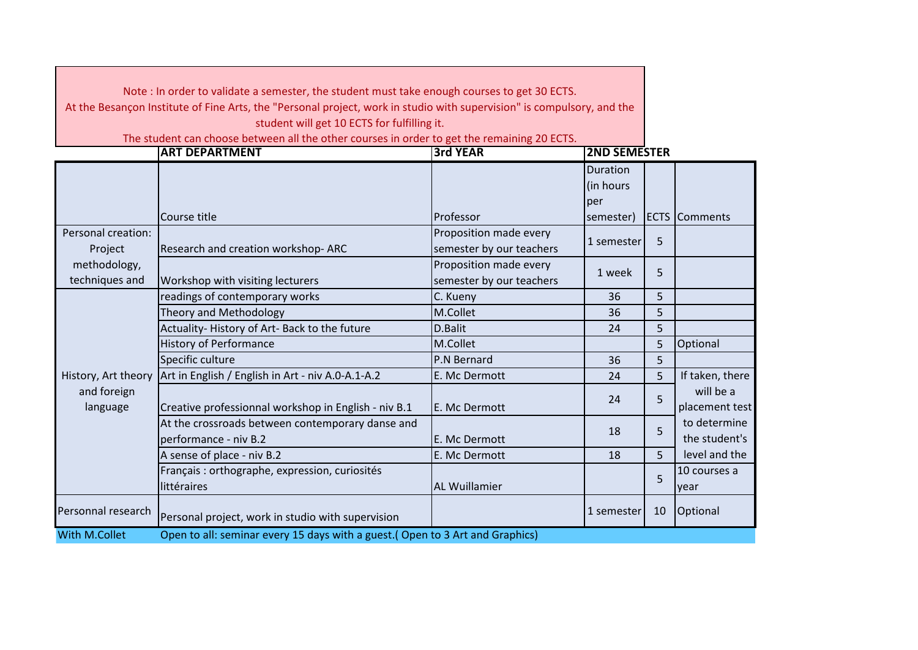|                                | Note: In order to validate a semester, the student must take enough courses to get 30 ECTS.<br>At the Besançon Institute of Fine Arts, the "Personal project, work in studio with supervision" is compulsory, and the |                                                                 |                              |    |                               |
|--------------------------------|-----------------------------------------------------------------------------------------------------------------------------------------------------------------------------------------------------------------------|-----------------------------------------------------------------|------------------------------|----|-------------------------------|
|                                | student will get 10 ECTS for fulfilling it.                                                                                                                                                                           |                                                                 |                              |    |                               |
|                                | The student can choose between all the other courses in order to get the remaining 20 ECTS.<br><b>ART DEPARTMENT</b>                                                                                                  | <b>3rd YEAR</b>                                                 | <b>2ND SEMESTER</b>          |    |                               |
|                                |                                                                                                                                                                                                                       |                                                                 | Duration<br>(in hours<br>per |    |                               |
| Personal creation:<br>Project  | Course title<br>Research and creation workshop-ARC                                                                                                                                                                    | Professor<br>Proposition made every<br>semester by our teachers | semester)<br>1 semester      | 5  | <b>ECTS Comments</b>          |
| methodology,<br>techniques and | Workshop with visiting lecturers                                                                                                                                                                                      | Proposition made every<br>semester by our teachers              | 1 week                       | 5  |                               |
|                                | readings of contemporary works                                                                                                                                                                                        | C. Kueny                                                        | 36                           | 5  |                               |
|                                | Theory and Methodology                                                                                                                                                                                                | M.Collet                                                        | 36                           | 5  |                               |
|                                | Actuality-History of Art-Back to the future                                                                                                                                                                           | D.Balit                                                         | 24                           | 5  |                               |
|                                | <b>History of Performance</b>                                                                                                                                                                                         | M.Collet                                                        |                              | 5  | Optional                      |
|                                | Specific culture                                                                                                                                                                                                      | P.N Bernard                                                     | 36                           | 5  |                               |
| History, Art theory            | Art in English / English in Art - niv A.0-A.1-A.2                                                                                                                                                                     | E. Mc Dermott                                                   | 24                           | 5  | If taken, there               |
| and foreign<br>language        | Creative professionnal workshop in English - niv B.1                                                                                                                                                                  | E. Mc Dermott                                                   | 24                           | 5  | will be a<br>placement test   |
|                                | At the crossroads between contemporary danse and<br>performance - niv B.2                                                                                                                                             | E. Mc Dermott                                                   | 18                           | 5  | to determine<br>the student's |
|                                | A sense of place - niv B.2                                                                                                                                                                                            | E. Mc Dermott                                                   | 18                           | 5  | level and the                 |
|                                | Français : orthographe, expression, curiosités<br>littéraires                                                                                                                                                         | <b>AL Wuillamier</b>                                            |                              | 5  | 10 courses a<br>year          |
| Personnal research             | Personal project, work in studio with supervision                                                                                                                                                                     |                                                                 | 1 semester                   | 10 | Optional                      |
| With M.Collet                  | Open to all: seminar every 15 days with a guest.(Open to 3 Art and Graphics)                                                                                                                                          |                                                                 |                              |    |                               |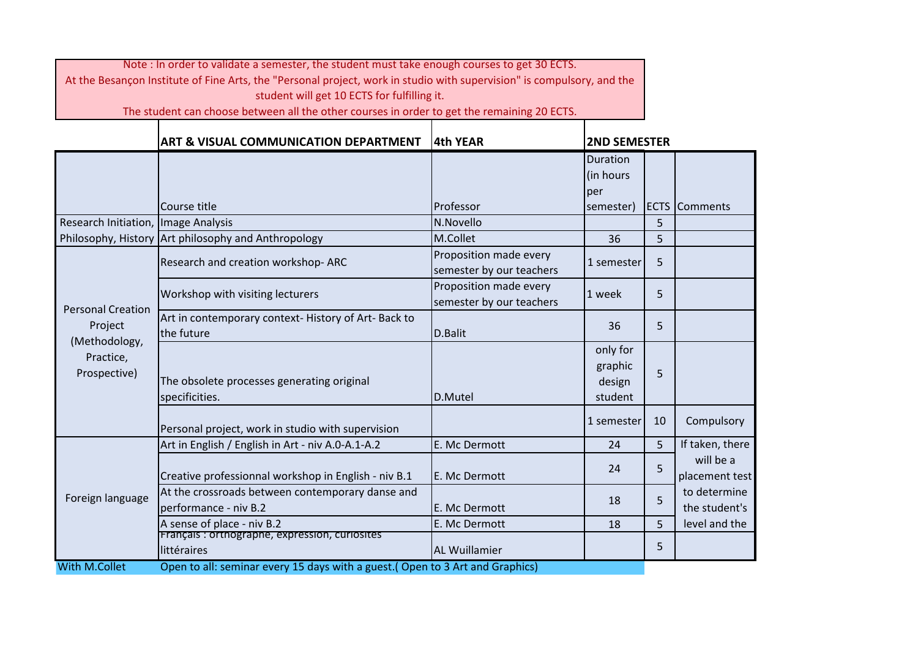|                                            | ART & VISUAL COMMUNICATION DEPARTMENT                                         | 4th YEAR                                           |                                          | <b>2ND SEMESTER</b> |                               |  |
|--------------------------------------------|-------------------------------------------------------------------------------|----------------------------------------------------|------------------------------------------|---------------------|-------------------------------|--|
|                                            |                                                                               |                                                    | Duration<br>(in hours<br>per             |                     |                               |  |
|                                            | Course title                                                                  | Professor                                          | semester)                                |                     | <b>ECTS</b> Comments          |  |
| Research Initiation, Image Analysis        |                                                                               | N.Novello                                          |                                          | 5                   |                               |  |
|                                            | Philosophy, History Art philosophy and Anthropology                           | M.Collet                                           | 36                                       | 5                   |                               |  |
|                                            | Research and creation workshop-ARC                                            | Proposition made every<br>semester by our teachers | 1 semester                               | 5                   |                               |  |
| <b>Personal Creation</b>                   | Workshop with visiting lecturers                                              | Proposition made every<br>semester by our teachers | 1 week                                   | 5                   |                               |  |
| Project                                    | Art in contemporary context- History of Art- Back to<br>the future            | D.Balit                                            | 36                                       | 5                   |                               |  |
| (Methodology,<br>Practice,<br>Prospective) | The obsolete processes generating original<br>specificities.                  | D.Mutel                                            | only for<br>graphic<br>design<br>student | 5                   |                               |  |
|                                            | Personal project, work in studio with supervision                             |                                                    | 1 semester                               | 10                  | Compulsory                    |  |
|                                            | Art in English / English in Art - niv A.0-A.1-A.2                             | E. Mc Dermott                                      | 24                                       | 5                   | If taken, there               |  |
| Foreign language                           | Creative professionnal workshop in English - niv B.1                          | E. Mc Dermott                                      | 24                                       | 5                   | will be a<br>placement test   |  |
|                                            | At the crossroads between contemporary danse and<br>performance - niv B.2     | E. Mc Dermott                                      | 18                                       | 5                   | to determine<br>the student's |  |
|                                            | A sense of place - niv B.2                                                    | E. Mc Dermott                                      | 18                                       | 5                   | level and the                 |  |
|                                            | Français : orthographe, expression, curiosites<br>littéraires                 | <b>AL Wuillamier</b>                               |                                          | 5                   |                               |  |
| <b>With M.Collet</b>                       | Open to all: seminar every 15 days with a guest.( Open to 3 Art and Graphics) |                                                    |                                          |                     |                               |  |